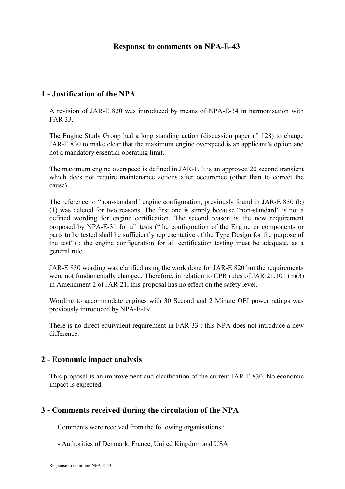### **Response to comments on NPA-E-43**

# **1 - Justification of the NPA**

A revision of JAR-E 820 was introduced by means of NPA-E-34 in harmonisation with FAR 33.

The Engine Study Group had a long standing action (discussion paper  $n^{\circ}$  128) to change JAR-E 830 to make clear that the maximum engine overspeed is an applicant's option and not a mandatory essential operating limit.

The maximum engine overspeed is defined in JAR-1. It is an approved 20 second transient which does not require maintenance actions after occurrence (other than to correct the cause).

The reference to "non-standard" engine configuration, previously found in JAR-E 830 (b) (1) was deleted for two reasons. The first one is simply because "non-standard" is not a defined wording for engine certification. The second reason is the new requirement proposed by NPA-E-31 for all tests ("the configuration of the Engine or components or parts to be tested shall be sufficiently representative of the Type Design for the purpose of the test") : the engine configuration for all certification testing must be adequate, as a general rule.

JAR-E 830 wording was clarified using the work done for JAR-E 820 but the requirements were not fundamentally changed. Therefore, in relation to CPR rules of JAR 21.101 (b)(3) in Amendment 2 of JAR-21, this proposal has no effect on the safety level.

Wording to accommodate engines with 30 Second and 2 Minute OEI power ratings was previously introduced by NPA-E-19.

There is no direct equivalent requirement in FAR 33 : this NPA does not introduce a new difference.

## **2 - Economic impact analysis**

This proposal is an improvement and clarification of the current JAR-E 830. No economic impact is expected.

## **3 - Comments received during the circulation of the NPA**

Comments were received from the following organisations :

- Authorities of Denmark, France, United Kingdom and USA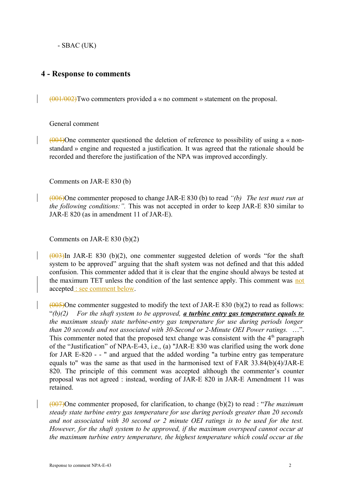- SBAC (UK)

## **4 - Response to comments**

(001/002)Two commenters provided a « no comment » statement on the proposal.

General comment

 $(0.04)$ One commenter questioned the deletion of reference to possibility of using a « nonstandard » engine and requested a justification. It was agreed that the rationale should be recorded and therefore the justification of the NPA was improved accordingly.

Comments on JAR-E 830 (b)

(006)One commenter proposed to change JAR-E 830 (b) to read *"(b) The test must run at the following conditions:".* This was not accepted in order to keep JAR-E 830 similar to JAR-E 820 (as in amendment 11 of JAR-E).

Comments on JAR-E 830 (b)(2)

 $(003)$ In JAR-E 830 (b)(2), one commenter suggested deletion of words "for the shaft" system to be approved" arguing that the shaft system was not defined and that this added confusion. This commenter added that it is clear that the engine should always be tested at the maximum TET unless the condition of the last sentence apply. This comment was not accepted : see comment below.

 $(0.05)$ One commenter suggested to modify the text of JAR-E 830 (b)(2) to read as follows: "*(b)(2) For the shaft system to be approved, a turbine entry gas temperature equals to the maximum steady state turbine-entry gas temperature for use during periods longer than 20 seconds and not associated with 30-Second or 2-Minute OEI Power ratings.* …". This commenter noted that the proposed text change was consistent with the  $4<sup>th</sup>$  paragraph of the "Justification" of NPA-E-43, i.e., (a) "JAR-E 830 was clarified using the work done for JAR E-820 - - " and argued that the added wording "a turbine entry gas temperature equals to" was the same as that used in the harmonised text of FAR 33.84(b)(4)/JAR-E 820. The principle of this comment was accepted although the commenter's counter proposal was not agreed : instead, wording of JAR-E 820 in JAR-E Amendment 11 was retained.

(007)One commenter proposed, for clarification, to change (b)(2) to read : "*The maximum steady state turbine entry gas temperature for use during periods greater than 20 seconds and not associated with 30 second or 2 minute OEI ratings is to be used for the test. However, for the shaft system to be approved, if the maximum overspeed cannot occur at the maximum turbine entry temperature, the highest temperature which could occur at the*